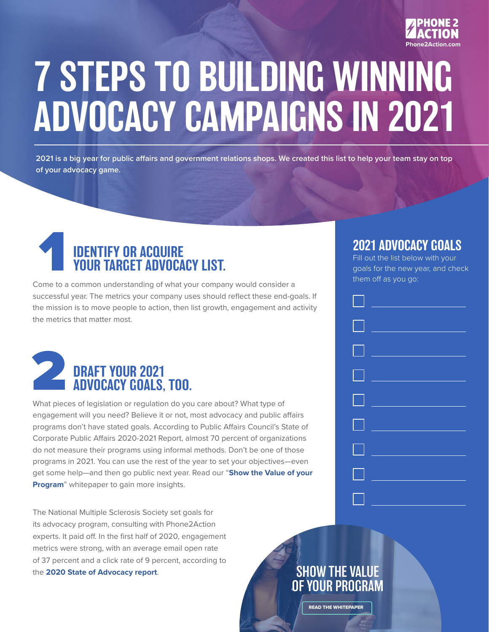

## 7 STEPS TO BUILDING WINNING ADVOCACY CAMPAIGNS IN 2021

**2021 is a big year for public affairs and government relations shops. We created this list to help your team stay on top of your advocacy game.** 

### IDENTIFY OR ACQUIRE YOUR TARGET ADVOCACY LIST. **SUPENTIFY OR ACQUIRE**<br> **EXECUTED MOVID CONTROL SECUTED MOVID CALLS**<br>
Fill out the list below with your<br>
goals for the new year, and check<br>
them off as you go:<br> **EXECUTED MOVID CACY LIST.**

them off as you go: Come to a common understanding of what your company would consider a successful year. The metrics your company uses should reflect these end-goals. If the mission is to move people to action, then list growth, engagement and activity the metrics that matter most.



What pieces of legislation or regulation do you care about? What type of engagement will you need? Believe it or not, most advocacy and public affairs programs don't have stated goals. According to Public Affairs Council's State of Corporate Public Affairs 2020-2021 Report, almost 70 percent of organizations do not measure their programs using informal methods. Don't be one of those programs in 2021. You can use the rest of the year to set your objectives—even get some help—and then go public next year. Read our "**[Show the Value of your](https://phone2action.com/resource/show-the-value-of-your-program-corp/)  [Program](https://phone2action.com/resource/show-the-value-of-your-program-corp/)**" whitepaper to gain more insights.

The National Multiple Sclerosis Society set goals for its advocacy program, consulting with Phone2Action experts. It paid off. In the first half of 2020, engagement metrics were strong, with an average email open rate of 37 percent and a click rate of 9 percent, according to the **[2020 State of Advocacy report](https://phone2action.com/state-of-advocacy-2020/)**.

### 2021 ADVOCACY GOALS

Fill out the list below with your



### SHOW THE VALUE [OF YOUR PROGRAM](https://phone2action.com/resource/show-the-value-of-your-program-corp/)

READ THE WHITEPAPER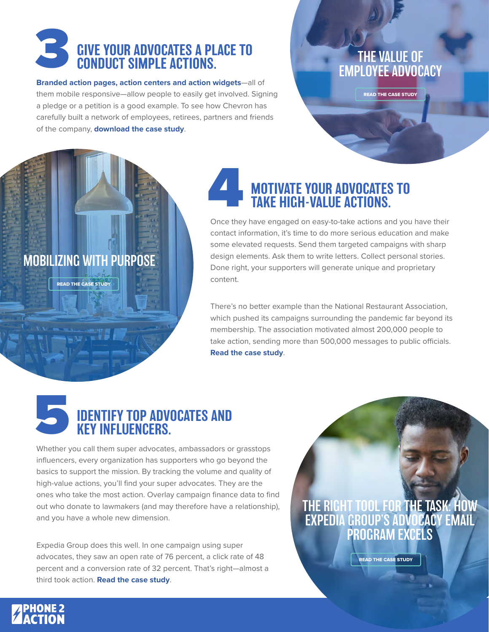### GIVE YOUR ADVOCATES A PLACE TO CONDUCT SIMPLE ACTIONS. **3 GIVE YOUR ADVOCATES A PLACE TO<br>CONDUCT SIMPLE ACTIONS.**<br>EMPLOYEE ADVOCATES AND THE VALUE OF

**[Branded action pages, action centers and action widgets](https://www.li.me/respect-the-ride#pledge)**—all of them mobile responsive—allow people to easily get involved. Signing a pledge or a petition is a good example. To see how Chevron has carefully built a network of employees, retirees, partners and friends of the company, **[download the case study](https://phone2action.com/resource/chevron/)**.

### [EMPLOYEE ADVOCACY](https://phone2action.com/resource/chevron/)

READ THE CASE STUDY

# [MOBILIZING WITH PURPOSE](https://phone2action.com/resource/national-restaurant-association/) READ THE CASE STUDY

### MOTIVATE YOUR ADVOCATES TO TAKE HIGH-VALUE ACTIONS. 4

Once they have engaged on easy-to-take actions and you have their contact information, it's time to do more serious education and make some elevated requests. Send them targeted campaigns with sharp design elements. Ask them to write letters. Collect personal stories. Done right, your supporters will generate unique and proprietary content.

There's no better example than the National Restaurant Association, which pushed its campaigns surrounding the pandemic far beyond its membership. The association motivated almost 200,000 people to take action, sending more than 500,000 messages to public officials. **[Read the case study](https://phone2action.com/resource/national-restaurant-association/)**.



Whether you call them super advocates, ambassadors or grasstops influencers, every organization has supporters who go beyond the basics to support the mission. By tracking the volume and quality of high-value actions, you'll find your super advocates. They are the ones who take the most action. Overlay campaign finance data to find out who donate to lawmakers (and may therefore have a relationship), and you have a whole new dimension.

Expedia Group does this well. In one campaign using super advocates, they saw an open rate of 76 percent, a click rate of 48 percent and a conversion rate of 32 percent. That's right—almost a third took action. **[Read the case study](https://phone2action.com/resource/expedia/)**.

[THE RIGHT TOOL FOR THE TASK: HOW](https://phone2action.com/resource/expedia/)  EXPEDIA GROUP'S ADVOCACY EMAIL PROGRAM EXCELS

READ THE CASE STUDY